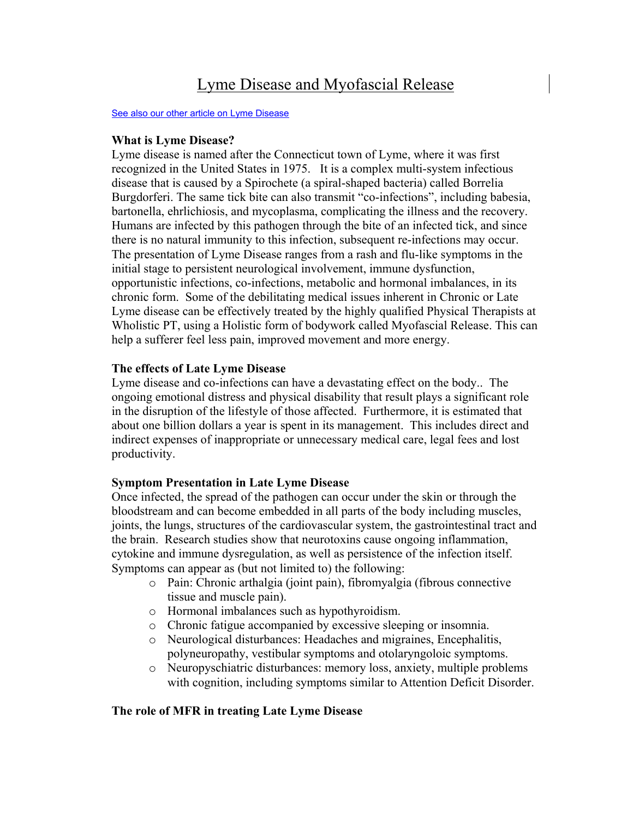# Lyme Disease and Myofascial Release

#### [See also our other article on Lyme Disease](http://www.wholisticphysicaltherapy.com/lyme2.pdf)

## **What is Lyme Disease?**

Lyme disease is named after the Connecticut town of Lyme, where it was first recognized in the United States in 1975. It is a complex multi-system infectious disease that is caused by a Spirochete (a spiral-shaped bacteria) called Borrelia Burgdorferi. The same tick bite can also transmit "co-infections", including babesia, bartonella, ehrlichiosis, and mycoplasma, complicating the illness and the recovery. Humans are infected by this pathogen through the bite of an infected tick, and since there is no natural immunity to this infection, subsequent re-infections may occur. The presentation of Lyme Disease ranges from a rash and flu-like symptoms in the initial stage to persistent neurological involvement, immune dysfunction, opportunistic infections, co-infections, metabolic and hormonal imbalances, in its chronic form. Some of the debilitating medical issues inherent in Chronic or Late Lyme disease can be effectively treated by the highly qualified Physical Therapists at Wholistic PT, using a Holistic form of bodywork called Myofascial Release. This can help a sufferer feel less pain, improved movement and more energy.

## **The effects of Late Lyme Disease**

Lyme disease and co-infections can have a devastating effect on the body.. The ongoing emotional distress and physical disability that result plays a significant role in the disruption of the lifestyle of those affected. Furthermore, it is estimated that about one billion dollars a year is spent in its management. This includes direct and indirect expenses of inappropriate or unnecessary medical care, legal fees and lost productivity.

# **Symptom Presentation in Late Lyme Disease**

Once infected, the spread of the pathogen can occur under the skin or through the bloodstream and can become embedded in all parts of the body including muscles, joints, the lungs, structures of the cardiovascular system, the gastrointestinal tract and the brain. Research studies show that neurotoxins cause ongoing inflammation, cytokine and immune dysregulation, as well as persistence of the infection itself. Symptoms can appear as (but not limited to) the following:

- o Pain: Chronic arthalgia (joint pain), fibromyalgia (fibrous connective tissue and muscle pain).
- o Hormonal imbalances such as hypothyroidism.
- o Chronic fatigue accompanied by excessive sleeping or insomnia.
- o Neurological disturbances: Headaches and migraines, Encephalitis, polyneuropathy, vestibular symptoms and otolaryngoloic symptoms.
- o Neuropyschiatric disturbances: memory loss, anxiety, multiple problems with cognition, including symptoms similar to Attention Deficit Disorder.

# **The role of MFR in treating Late Lyme Disease**